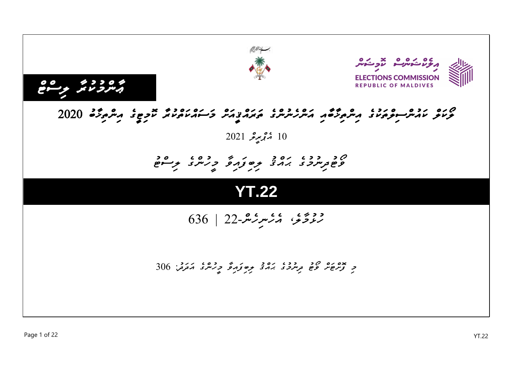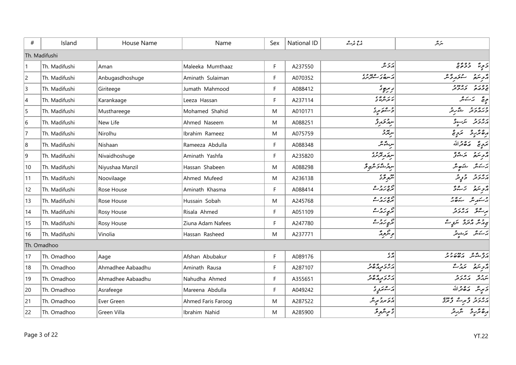| #              | Island        | House Name        | Name               | Sex       | National ID | ، ه ، ره<br>مره برگ                      | يترمثر                                            |
|----------------|---------------|-------------------|--------------------|-----------|-------------|------------------------------------------|---------------------------------------------------|
|                | Th. Madifushi |                   |                    |           |             |                                          |                                                   |
| 1              | Th. Madifushi | Aman              | Maleeka Mumthaaz   | F         | A237550     | برىر ھ                                   | دَ په دوه وه                                      |
| $\overline{2}$ | Th. Madifushi | Anbugasdhoshuge   | Aminath Sulaiman   | F         | A070352     | ر سرور ده بود و ،<br>در سرچای سوتورس     | ۇ ئىدە سىزە ئە                                    |
| 3              | Th. Madifushi | Giriteege         | Jumath Mahmood     | F.        | A088412     | ۍ مربو ځ<br>تر نړۍ                       | و ه ر و د ر ه و و و<br>  فے <i>و ه</i> ه کر کر کر |
| 4              | Th. Madifushi | Karankaage        | Leeza Hassan       | F         | A237114     | بەرەپ                                    | وِچَ بَرَسَهْر                                    |
| 5              | Th. Madifushi | Musthareege       | Mohamed Shahid     | M         | A010171     | و صمر سر<br>حر سک <i>و ت</i> حری         | ورەر دەرد                                         |
| 6              | Th. Madifushi | New Life          | Ahmed Naseem       | M         | A088251     | بىرىز ئېرو                               | دەر د سرگىرى                                      |
| $\overline{7}$ | Th. Madifushi | Nirolhu           | Ibrahim Rameez     | M         | A075759     | سر پو و<br>سرچرنو                        | أرە ئۆر ئىس ئىككى                                 |
| $\overline{8}$ | Th. Madifushi | Nishaan           | Rameeza Abdulla    | F         | A088348     | سرڪرشر                                   | تتر <i>جي قەھەت</i> راللە                         |
| $\vert$ 9      | Th. Madifushi | Nivaidhoshuge     | Aminath Yashfa     | F         | A235820     | سرچە جەج يە<br>س                         | أترجع الرشوش                                      |
| 10             | Th. Madifushi | Niyushaa Manzil   | Hassan Shabeen     | ${\sf M}$ | A088298     | ڛۯٙ؎ٞڎۺؠٶ                                | يركس سقوس                                         |
| 11             | Th. Madifushi | Noovilaage        | Ahmed Mufeed       | M         | A236138     | دد په په<br>سرچ د د                      | أرور و و و د                                      |
| 12             | Th. Madifushi | Rose House        | Aminath Khasma     | F         | A088414     | ە ەر دېر<br>ئىرى <i>ر</i> ىر ب           | أأزويتهم المتباددة                                |
| 13             | Th. Madifushi | Rose House        | Hussain Sobah      | M         | A245768     | <i>می بر د</i> ید<br>مرب <i>ع ش</i> هر ک | 22 كىرىش سىزەم                                    |
| 14             | Th. Madifushi | Rosy House        | Risala Ahmed       | F         | A051109     | ئىرىپە ئەر <sup>9</sup>                  | برسنق برەرد                                       |
| 15             | Th. Madifushi | <b>Rosy House</b> | Ziuna Adam Nafees  | F.        | A247780     | ئىزى <sub>يە</sub> ئەرجىسە               | برمائه أزادها الترواع                             |
| 16             | Th. Madifushi | Vinolia           | Hassan Rasheed     | M         | A237771     | وبتزجر                                   | برسكانكر المخاطبوقر                               |
|                | Th. Omadhoo   |                   |                    |           |             |                                          |                                                   |
| 17             | Th. Omadhoo   | Aage              | Afshan Abubakur    | F         | A089176     | پر ج                                     | ره می ردد د د                                     |
| 18             | Th. Omadhoo   | Ahmadhee Aabaadhu | Aminath Rausa      | F         | A287107     | ر ە ر پە ئەتر<br>مەر ئى <sub>ر</sub> مەھ | أزويتهى بمدرك                                     |
| 19             | Th. Omadhoo   | Ahmadhee Aabaadhu | Nahudha Ahmed      | F         | A355651     | ر ە ر پە ئەتر<br>مەر ئى <sub>ر</sub> مەھ | پروژ در دورو                                      |
| 20             | Th. Omadhoo   | Asrafeege         | Mareena Abdulla    | F.        | A049242     | ىز س <sup>9</sup> ىخرى <sub>م</sub> ى    | <b>ت</b> َ سِيتَد 150مَّة اللَّه                  |
| 21             | Th. Omadhoo   | Ever Green        | Ahmed Faris Faroog | M         | A287522     | ە ئەسرىم سەيىر                           | رەر دېرے دورہ                                     |
| 22             | Th. Omadhoo   | Green Villa       | Ibrahim Nahid      | M         | A285900     | ۇ بېرىئرى ئە                             | ە ئەمەر ئەسىر ئەسىر ئىرلىدى<br>مەھەمەر ئى         |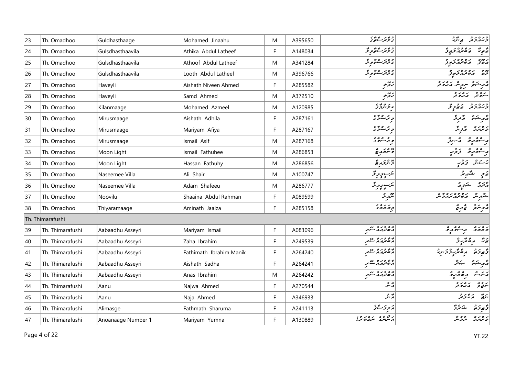| 23 | Th. Omadhoo      | Guldhasthaage      | Mohamed Jinaahu         | M  | A395650 | و ه بر ره پو ،<br>د نژنترستهو د | وبرورد يرشر                                |
|----|------------------|--------------------|-------------------------|----|---------|---------------------------------|--------------------------------------------|
| 24 | Th. Omadhoo      | Gulsdhasthaavila   | Athika Abdul Latheef    | F. | A148034 | 3 <i>دەن ھۇم</i> ۇ              | ر ده ده ده د م                             |
| 25 | Th. Omadhoo      | Gulsdhasthaavila   | Athoof Abdul Latheef    | M  | A341284 | د وبر ۱۵۰۰ و محر                |                                            |
| 26 | Th. Omadhoo      | Gulsdhasthaavila   | Looth Abdul Latheef     | M  | A396766 | وه بر ۵۵ د مخ                   | دد ده ده ده د و                            |
| 27 | Th. Omadhoo      | Haveyli            | Aishath Niveen Ahmed    | F  | A285582 | ريىپىر                          | הו בל תוקים הפית                           |
| 28 | Th. Omadhoo      | Haveyli            | Samd Ahmed              | M  | A372510 | ريمو                            | رە دەر دەر                                 |
| 29 | Th. Omadhoo      | Kilanmaage         | Mohamed Azmeel          | M  | A120985 | ارىز ۋە                         | כמי היב היביב                              |
| 30 | Th. Omadhoo      | Mirusmaage         | Aishath Adhila          | F  | A287161 | ج بر صور و                      | و د شوه و مرمر                             |
| 31 | Th. Omadhoo      | Mirusmaage         | Mariyam Afiya           | F  | A287167 | د پر ۱۵ پر پر<br>د بر سود د     | גפנפ ג'ציק                                 |
| 32 | Th. Omadhoo      | Mirusmaage         | Ismail Asif             | M  | A287168 | و بر ۵ ۶ و و<br>مرگ سرد د       | رىشۇرچە ئەسرۇ                              |
| 33 | Th. Omadhoo      | Moon Light         | Ismail Fathuhee         | M  | A286853 | وممرغرة                         | وستوفيو زوبه                               |
| 34 | Th. Omadhoo      | Moon Light         | Hassan Fathuhy          | M  | A286856 | ومشرقهم                         | اير <u>سره</u> کره به                      |
| 35 | Th. Omadhoo      | Naseemee Villa     | Ali Shair               | M  | A100747 | ىئرسوچە بۇ                      | $\frac{2}{3}$                              |
| 36 | Th. Omadhoo      | Naseemee Villa     | Adam Shafeeu            | M  | A286777 | ىئەسىرە بۇ<br>ئىستىقىنىشىشى     | ر دره شکوره<br>مهرو شکوره                  |
| 37 | Th. Omadhoo      | Noovilu            | Shaaina Abdul Rahman    | F. | A089599 | يتروجه                          | 220102020 2020                             |
| 38 | Th. Omadhoo      | Thiyaramaage       | Aminath Jaaiza          | F. | A285158 | ر ر د د ؟<br>موهر پر ژ د        | أأدجن فأرتج                                |
|    | Th. Thimarafushi |                    |                         |    |         |                                 |                                            |
| 39 | Th. Thimarafushi | Aabaadhu Asseyri   | Mariyam Ismail          | F  | A083096 | د و دره در<br>د ه درم شومر      | ر ه بر ه<br><del>د</del> بربر و<br>وستوفيو |
| 40 | Th. Thimarafushi | Aabaadhu Asseyri   | Zaha Ibrahim            | F  | A249539 | د و دره در<br>د ه درم شومر      | ى ئەھەمگەر                                 |
| 41 | Th. Thimarafushi | Aabaadhu Asseyri   | Fathimath Ibrahim Manik | F  | A264240 | پر پوره به<br>مەمەمەسىر         | و مرد<br>ترجوحرم<br>ە ھەترىر 2 كەسرىر<br>م |
| 42 | Th. Thimarafushi | Aabaadhu Asseyri   | Aishath Sadha           | F  | A264241 | پر پر دره عدم<br>مقدم مشمر      | د مشرح سکور<br>مگر مشرح                    |
| 43 | Th. Thimarafushi | Aabaadhu Asseyri   | Anas Ibrahim            | M  | A264242 | ه و د ره عه<br>مهندم شومر       | أأشرت المقتربة                             |
| 44 | Th. Thimarafushi | Aanu               | Najwa Ahmed             | F  | A270544 | ىر تە                           | ر و بر<br>سرچ ح<br>برور و                  |
| 45 | Th. Thimarafushi | Aanu               | Naja Ahmed              | F  | A346933 | ېژىتر                           | سريح كالرواد                               |
| 46 | Th. Thimarafushi | Alimasge           | Fathmath Sharuma        | F  | A241113 | ە ئېرىخ سى                      | ء مر د<br>ترجو حو<br>شە ئەرىج              |
| 47 | Th. Thimarafushi | Anoanaage Number 1 | Mariyam Yumna           | F  | A130889 | Logo CAR                        | ر ه ر ه<br><del>د</del> بربرگ<br>پرچ پڙ    |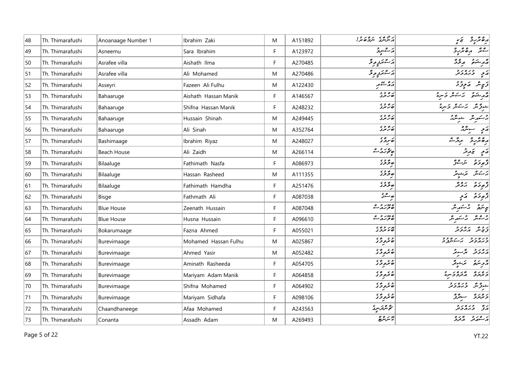| 48 | Th. Thimarafushi | Anoanaage Number 1 | Ibrahim Zaki         | M         | A151892 | رەپ برەدەر                                     | ەرھ ئ <sup>ۆ</sup> ر ۋ<br>تجميح |
|----|------------------|--------------------|----------------------|-----------|---------|------------------------------------------------|---------------------------------|
| 49 | Th. Thimarafushi | Asneemu            | Sara Ibrahim         | F         | A123972 | ىر مەسرى <sup>3</sup>                          | $rac{2}{3}$                     |
| 50 | Th. Thimarafushi | Asrafee villa      | Aishath Ilma         | F         | A270485 | ر مەئدى <sub>ر جە</sub> مۇ                     | ومرشني وجر                      |
| 51 | Th. Thimarafushi | Asrafee villa      | Ali Mohamed          | M         | A270486 | <br> د س <sup>م</sup> مَدَرٍ <sub>حر</sub> مَّ |                                 |
| 52 | Th. Thimarafushi | Asseyri            | Fazeen Ali Fulhu     | ${\sf M}$ | A122430 | لرويئير                                        | تزيږ شورژ                       |
| 53 | Th. Thimarafushi | Bahaaruge          | Aishath Hassan Manik | F         | A146567 | ر و د ،<br>ن <i>ه ر</i> بو ،                   | مەركتوم كەسكىر كەرم             |
| 54 | Th. Thimarafushi | Bahaaruge          | Shifna Hassan Manik  | F         | A248232 | ر پر و ،<br>ن <i>ن</i> تر د                    | جوره يمكس كالركة                |
| 55 | Th. Thimarafushi | Bahaaruge          | Hussain Shinah       | M         | A249445 | ر پر و ،<br>ن <i>ن</i> تر د                    |                                 |
| 56 | Th. Thimarafushi | Bahaaruge          | Ali Sinah            | ${\sf M}$ | A352764 | ر پر و ،<br>ن <i>ن تر</i> د                    |                                 |
| 57 | Th. Thimarafushi | Bashimaage         | Ibrahim Riyaz        | ${\sf M}$ | A248027 | <br> خامرچری                                   | سرور مشه                        |
| 58 | Th. Thimarafushi | Beach House        | Ali Zaidh            | M         | A266114 | ە ئەزەر م                                      | ړې په ده.                       |
| 59 | Th. Thimarafushi | Bilaaluge          | Fathimath Nasfa      | F         | A086973 | <br> ح تر تر د                                 | توجوخا مرعوش                    |
| 60 | Th. Thimarafushi | Bilaaluge          | Hassan Rasheed       | ${\sf M}$ | A111355 | ە ئۇنزى                                        | ىزىكەش ئىزىدىق                  |
| 61 | Th. Thimarafushi | Bilaaluge          | Fathimath Hamdha     | F         | A251476 | ه د د د<br>ج تر د د                            | تو برد بره بر                   |
| 62 | Th. Thimarafushi | <b>Bisge</b>       | Fathmath Ali         | F         | A087038 | ەت                                             | و محمد الله من الله من الله من  |
| 63 | Th. Thimarafushi | <b>Blue House</b>  | Zeenath Hussain      | F         | A087048 | ە دور دەپ                                      | ى ئىدە جىسىمبىر                 |
| 64 | Th. Thimarafushi | <b>Blue House</b>  | Husna Hussain        | F         | A096610 | ە دىر دەر                                      | برسائى برسكهاش                  |
| 65 | Th. Thimarafushi | Bokarumaage        | Fazna Ahmed          | F         | A055021 | پر ر و د ه<br><i>ه تا پر و</i> د               | ز ج شر بر در د                  |
| 66 | Th. Thimarafushi | Burevimaage        | Mohamed Hassan Fulhu | M         | A025867 | ه نمر و ژ د                                    | ورەرو بەشەدە                    |
| 67 | Th. Thimarafushi | Burevimaage        | Ahmed Yasir          | ${\sf M}$ | A052482 | ه پروژه<br>مورو د                              | رەرد ئرىسىر                     |
| 68 | Th. Thimarafushi | Burevimaage        | Aminath Rasheeda     | F         | A054705 | ه پروژه<br>م <i>ح</i> روژه                     | مەھ سىرە ئىزىدىگە               |
| 69 | Th. Thimarafushi | Burevimaage        | Mariyam Adam Manik   | F         | A064858 | د ،<br>صغر و د د                               | במתכ בנסגים                     |
| 70 | Th. Thimarafushi | Burevimaage        | Shifna Mohamed       | F         | A064902 | د ،<br>صغر و د د                               | ے ورہ در د<br>خوش وبہروبر       |
| 71 | Th. Thimarafushi | Burevimaage        | Mariyam Sidhafa      | F         | A098106 |                                                | رەرە سەترى                      |
| 72 | Th. Thimarafushi | Chaandhaneege      | Afaa Mohamed         | F         | A243563 | ىچە شرىئە س <sub>ى</sub> رى                    | ر و دره رو<br>پرس و برگرونر     |
| 73 | Th. Thimarafushi | Conanta            | Assadh Adam          | ${\sf M}$ | A269493 | بر بر <u>مرض</u> ح                             | بر صر د پره                     |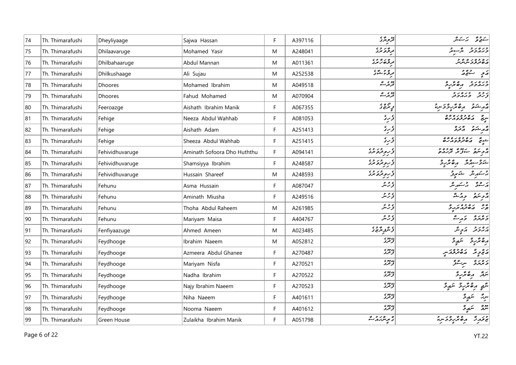| 74 | Th. Thimarafushi | Dheyliyaage        | Sajwa Hassan                | F         | A397116 | قرمز جری<br>  قرمز جر                        | سەدە بەسەش                              |
|----|------------------|--------------------|-----------------------------|-----------|---------|----------------------------------------------|-----------------------------------------|
| 75 | Th. Thimarafushi | Dhilaavaruge       | Mohamed Yasir               | ${\sf M}$ | A248041 | و محرک و <sup>ی</sup><br>فرمحر <i>ی بو</i> ر | כממכיב וקצייניק                         |
| 76 | Th. Thimarafushi | Dhilbahaaruge      | Abdul Mannan                | M         | A011361 | و د بر و د<br>ترنژه ر بر د                   | ر ه و ه ر ه مر و<br>پره ترنو د سرسر     |
| 77 | Th. Thimarafushi | Dhilkushaage       | Ali Sujau                   | M         | A252538 | دره و در پر پر<br>درنوم شور                  | أەرمىي سىقىم                            |
| 78 | Th. Thimarafushi | <b>Dhoores</b>     | Mohamed Ibrahim             | M         | A049518 | ود ۽ ه                                       | כמחכת הפתיכ                             |
| 79 | Th. Thimarafushi | <b>Dhoores</b>     | Fahud Mohamed               | ${\sf M}$ | A070904 | ود ۽ ه<br>تريمر ڪ                            | ر و و ره ر و<br>تورتر فربرمرفتر         |
| 80 | Th. Thimarafushi | Feeroazge          | Aishath Ibrahim Manik       | F         | A067355 | د ۵ ۵ ء<br>پوتندي <sub>ک</sub>               | הובים ופתפכתי                           |
| 81 | Th. Thimarafushi | Fehige             | Neeza Abdul Wahhab          | F         | A081053 | ې<br>توري                                    | ر ه و و ر ه د ه<br>پره ترمرور ره<br>سرچ |
| 82 | Th. Thimarafushi | Fehige             | Aishath Adam                | F         | A251413 | ې<br>توريخ                                   | و<br><i>م</i> گهرڪوي مرفرق              |
| 83 | Th. Thimarafushi | Fehige             | Sheeza Abdul Wahhab         | F         | A251415 | ئۇر <sub>ى</sub><br>                         | ر ده ده ده ده ده<br>شونخ های هر ده در ح |
| 84 | Th. Thimarafushi | Fehividhuvaruge    | Aminath Sofoora Dho Huththu | F         | A094141 | ې په ده د د د<br>کرېږونونونو                 | ه در درده بدده د<br>تروسي سوزير تردر    |
| 85 | Th. Thimarafushi | Fehividhuvaruge    | Shamsiyya Ibrahim           | F         | A248587 | نې په دېږي.<br>د کرېږدنه                     | شكى سور ئەرھەترىرى                      |
| 86 | Th. Thimarafushi | Fehividhuvaruge    | Hussain Shareef             | M         | A248593 | ې په دره ده<br>کې په دره مرد                 | چەسىر شەھىرى                            |
| 87 | Th. Thimarafushi | Fehunu             | Asma Hussain                | F         | A087047 | ی و و<br>تور سر                              | برعدة بركته مثو                         |
| 88 | Th. Thimarafushi | Fehunu             | Aminath Miusha              | F         | A249516 | ی و و<br>نور سر                              | أأدجني والمش                            |
| 89 | Th. Thimarafushi | Fehunu             | Thoha Abdul Raheem          | ${\sf M}$ | A261985 | ی و و<br>نور سر                              |                                         |
| 90 | Th. Thimarafushi | Fehunu             | Mariyam Maisa               | F         | A404767 | ی و و<br>نور مثر                             | ويوجر ورقه                              |
| 91 | Th. Thimarafushi | Fenfiyaazuge       | Ahmed Ameen                 | M         | A023485 | ع شروع دي.<br> زينگر پرسي <sub>ک</sub>       | رەرو روپر                               |
| 92 | Th. Thimarafushi | Feydhooge          | Ibrahim Naeem               | ${\sf M}$ | A052812 | ړے وو ر<br>تو تعری                           | سمديحه<br>ەرھەترىرى<br>ب                |
| 93 | Th. Thimarafushi | Feydhooge          | Azmeera Abdul Ghanee        | F         | A270487 | ړے وو ر<br>تو تعری                           | ويحويمه<br>ره وه در<br>پره تروټر س      |
| 94 | Th. Thimarafushi | Feydhooge          | Mariyam Nisfa               | F         | A270521 | ړ، دو ت<br>تو تورن                           | במתכנית ייתו                            |
| 95 | Th. Thimarafushi | Feydhooge          | Nadha Ibrahim               | F         | A270522 | ړ، دو ت<br>تو تورن                           |                                         |
| 96 | Th. Thimarafushi | Feydhooge          | Najy Ibrahim Naeem          | F         | A270523 | ړے وو بر<br>تو تعری                          | أشمي مره عزير والمعرور                  |
| 97 | Th. Thimarafushi | Feydhooge          | Niha Naeem                  | F         | A401611 | دره و د<br>تو تو پ                           | $\frac{2}{3}$<br>سمەچ                   |
| 98 | Th. Thimarafushi | Feydhooge          | Nooma Naeem                 | F         | A401612 | ړے وو بر<br>تو تعری                          | سمەيە                                   |
| 99 | Th. Thimarafushi | <b>Green House</b> | Zulaikha Ibrahim Manik      | F         | A051798 | اه پر مربر د ه<br>د پر مربر مرب              | يخدر مقتر دورة                          |
|    |                  |                    |                             |           |         |                                              |                                         |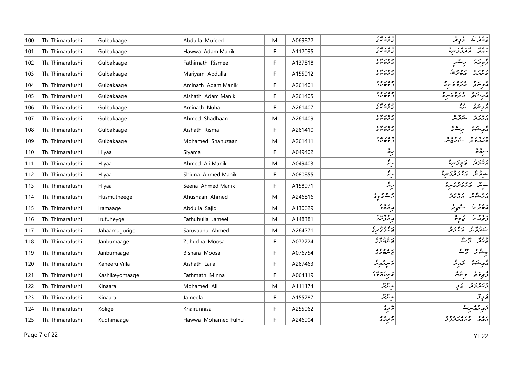| 100 | Th. Thimarafushi | Gulbakaage     | Abdulla Mufeed      | M  | A069872 | وه ر پر پر<br><b>ی نژ</b> ه تو ت             | برە دالله دېږمر                                                      |
|-----|------------------|----------------|---------------------|----|---------|----------------------------------------------|----------------------------------------------------------------------|
| 101 | Th. Thimarafushi | Gulbakaage     | Hawwa Adam Manik    | F  | A112095 | وه رو ء<br>د <del>ن</del> رھ ما د            | رەپە<br> پەرى<br>پر ور در<br>پر ترو تر سربا                          |
| 102 | Th. Thimarafushi | Gulbakaage     | Fathimath Rismee    | F  | A137818 | وه رو د<br>د <del>ن</del> وه ما د            | و محرم د<br>م<br>ىرىقىچە<br>پ                                        |
| 103 | Th. Thimarafushi | Gulbakaage     | Mariyam Abdulla     | F  | A155912 | وه رو د<br>د <del>ن</del> وه ما د            | وعرمره<br>ەھەراللە                                                   |
| 104 | Th. Thimarafushi | Gulbakaage     | Aminath Adam Manik  | F  | A261401 | وه رو ء<br>ي <del>ت</del> رھ تر <sub>ک</sub> | پر ور ر د<br>پرترو تر س<br>أرمر بمرد                                 |
| 105 | Th. Thimarafushi | Gulbakaage     | Aishath Adam Manik  | F  | A261405 | وه رو ء<br>ي <del>ت</del> ركا ت              | پر ده ر<br>د ترو تر سربر<br>پ <sup>و</sup> مرشوحو                    |
| 106 | Th. Thimarafushi | Gulbakaage     | Aminath Nuha        | F  | A261407 | و ه ر پر پر<br>د <del>تر</del> ځه تر         | سرجر<br>أرمز بنرو                                                    |
| 107 | Th. Thimarafushi | Gulbakaage     | Ahmed Shadhaan      | M  | A261409 | وه رو ء<br>د <del>گر</del> ن ما د            | شەقرىگر<br>ەرەر                                                      |
| 108 | Th. Thimarafushi | Gulbakaage     | Aishath Risma       | F  | A261410 | و ه رو »<br>د نوه مړي                        | وكرم شكوكم المحر سنحر                                                |
| 109 | Th. Thimarafushi | Gulbakaage     | Mohamed Shahuzaan   | Μ  | A261411 | وه رو ء<br>د څره مړ                          | شەرىج بىر<br>شەرىج بىر<br>و ر ه ر و<br><i>و پر</i> پر <del>و</del> ر |
| 110 | Th. Thimarafushi | Hiyaa          | Siyama              | F. | A049402 | رپڙ                                          | سىدىر                                                                |
| 111 | Th. Thimarafushi | Hiyaa          | Ahmed Ali Manik     | M  | A049403 | رچ                                           | ر ه ر د<br>م <i>.ژ</i> ونر<br>ە ئېچە ئەسرىتى                         |
| 112 | Th. Thimarafushi | Hiyaa          | Shiuna Ahmed Manik  | F  | A080855 | رپڙ<br>$\overline{\phantom{a}}$              | גם גבת ייתו <sup>ק</sup><br>شەرقرىتىر                                |
| 113 | Th. Thimarafushi | Hiyaa          | Seena Ahmed Manik   | F  | A158971 | رچ                                           | اب پیشر<br>1922 קיבוץ קי                                             |
| 114 | Th. Thimarafushi | Husmutheege    | Ahushaan Ahmed      | M  | A246816 | و ع <sub>و</sub> ج ءِ                        | ر د مړينو په دره د د                                                 |
| 115 | Th. Thimarafushi | Iramaage       | Abdulla Sajid       | M  | A130629 | ە بىرى                                       | صصرالله<br>ر گئے فر                                                  |
| 116 | Th. Thimarafushi | Irufuheyge     | Fathuhulla Jameel   | M  | A148381 | و وده تا<br>په بنوتو سری                     | ترة جرالله تح يوعى                                                   |
| 117 | Th. Thimarafushi | Jahaamugurige  | Saruvaanu Ahmed     | Μ  | A264271 | ر ۶ و و<br>ق رگ و تو تو ت                    | ر ده د ده د د و                                                      |
| 118 | Th. Thimarafushi | Janbumaage     | Zuhudha Moosa       | F. | A072724 | ر ہ و و » ،<br>تع سرے تر ی                   | ج و حر حر حر                                                         |
| 119 | Th. Thimarafushi | Janbumaage     | Bishara Moosa       | F  | A076754 | ر ه و و »<br>قع سرحه و د                     | دو مئے<br>ەشگە                                                       |
| 120 | Th. Thimarafushi | Kaneeru Villa  | Aishath Laila       | F  | A267463 | ئەس <sub>ى</sub> برىرى ئە                    | مەرشىق ئەرگ                                                          |
| 121 | Th. Thimarafushi | Kashikeyomaage | Fathmath Minna      | F  | A064119 | ر می پردی<br>ما مربع افراد ی                 | و مر د<br>تر موحر م<br>جە ئىرىتر                                     |
| 122 | Th. Thimarafushi | Kinaara        | Mohamed Ali         | M  | A111174 | ر متر پر                                     | ورەرو كەير                                                           |
| 123 | Th. Thimarafushi | Kinaara        | Jameela             | F  | A155787 | ر متریخه                                     | ر<br>ج <sub>حج</sub> محر                                             |
| 124 | Th. Thimarafushi | Kolige         | Khairunnisa         | F  | A255962 | بو<br>مامور                                  | تەرىپە                                                               |
| 125 | Th. Thimarafushi | Kudhimaage     | Hawwa Mohamed Fulhu | F  | A246904 | د د ه ،<br>ما تورد د                         | برەپچ<br>و ر ه ر و و و<br>تر پر تر تر تر تر                          |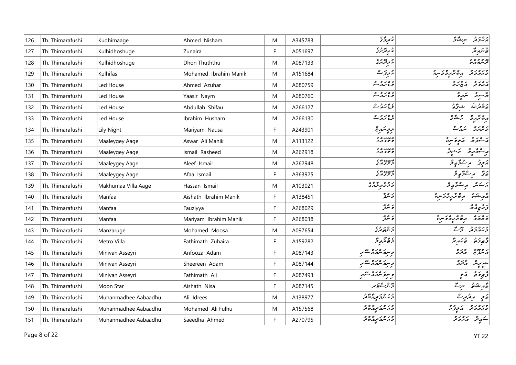| 126 | Th. Thimarafushi | Kudhimaage           | Ahmed Nisham          | M | A345783 | د وره و<br>ما تورد د                                | سرىشەۋ<br>بروئر قر                                          |
|-----|------------------|----------------------|-----------------------|---|---------|-----------------------------------------------------|-------------------------------------------------------------|
| 127 | Th. Thimarafushi | Kulhidhoshuge        | Zunaira               | E | A051697 | و پوو ،<br>ما <sub>کر</sub> فرمر <sub>ی</sub>       | ج يئرم <sup>س</sup> ر<br>پ                                  |
| 128 | Th. Thimarafushi | Kulhidhoshuge        | Dhon Thuththu         | M | A087133 | د پر د ،<br>را د تر رړ                              | ر<br>در سره در د                                            |
| 129 | Th. Thimarafushi | Kulhifas             | Mohamed Ibrahim Manik | M | A151684 | ر مورځ ک <u>ه</u>                                   | ەھ ئەر 3 كەس <sup>رى</sup><br>و ره ر د<br><i>و پر</i> پر تر |
| 130 | Th. Thimarafushi | Led House            | Ahmed Azuhar          | M | A080759 | <sup>ى 2</sup> ىر ئەر                               | גם ג' בגב<br>הגבע השליב                                     |
| 131 | Th. Thimarafushi | Led House            | Yaasir Naym           | M | A080760 | <sup>ى ەر د</sup> ېر                                | أثر سوير التندير و                                          |
| 132 | Th. Thimarafushi | Led House            | Abdullah Shifau       | M | A266127 | <sup>ى 2</sup> ىر ئە                                | برە ترالله<br>شەۋكە                                         |
| 133 | Th. Thimarafushi | Led House            | Ibrahim Husham        | M | A266130 | <sup>ى 2</sup> ىر ئەھ                               | ر حقوق<br>$rac{1}{2}$                                       |
| 134 | Th. Thimarafushi | Lily Night           | Mariyam Nausa         | F | A243901 | ووبئدء                                              | ر ه ر ه<br><del>د</del> بربرگر<br>سترمثه                    |
| 135 | Th. Thimarafushi | Maaleygey Aage       | Aswar Ali Manik       | M | A113122 | e s ceces<br>5 A 5 S S                              | وسموتر وكموتمين                                             |
| 136 | Th. Thimarafushi | Maaleygey Aage       | Ismail Rasheed        | M | A262918 | ه عن عنه عنه ع<br>مرکب حرکب می                      | برڪرگريز ڪرڪرگر                                             |
| 137 | Th. Thimarafushi | Maaleygey Aage       | Aleef Ismail          | M | A262948 | ه عن عنه عنه ع<br>مرکب حرکب می                      | وسنتورو<br>ېزېږي.<br>مړينې                                  |
| 138 | Th. Thimarafushi | Maaleygey Aage       | Afaa Ismail           | F | A363925 | e s ceces<br>5 A 5 <del>5</del> 5                   | رو مرشو وی                                                  |
| 139 | Th. Thimarafushi | Makhumaa Villa Aage  | Hassan Ismail         | M | A103021 | ر و و و و و ،<br>د رو و د د د                       | برسكش مستوضي                                                |
| 140 | Th. Thimarafushi | Manfaa               | Aishath Ibrahim Manik | F | A138451 | ر ه پو                                              | ە ھەترىر3 دىرىد<br>بەھەترىر3 دىرىد<br>وگەرىشىمۇ             |
| 141 | Th. Thimarafushi | Manfaa               | Fauziyya              | F | A268029 | ر ه پژ                                              | ر د<br>زړ <sub>ې د تر</sub>                                 |
| 142 | Th. Thimarafushi | Manfaa               | Mariyam Ibrahim Manik | F | A268038 | ىز شرىچە                                            | ر ه ر ه<br><del>ر</del> بر بر و<br>ە ھەمگەر 2 كەسرىيە<br>م  |
| 143 | Th. Thimarafushi | Manzaruge            | Mohamed Moosa         | M | A097654 | ر ہ ر د ،<br>تر سرپی سری                            | و ر ه ر د<br>تر پر تر تر<br>دومعه                           |
| 144 | Th. Thimarafushi | Metro Villa          | Fathimath Zuhaira     | F | A159282 | ە ھەجمو <b>ر</b> ۇ                                  | ىخ ئەمەتتى<br>وحجوحهم                                       |
| 145 | Th. Thimarafushi | Minivan Asseyri      | Anfooza Adam          | F | A087143 | حەسى شەھرىسى<br>سىرى شەھرىسىسى                      | بر 220 پر<br>هر سر تر س<br>پەر ە<br>مەنىرى                  |
| 146 | Th. Thimarafushi | Minivan Asseyri      | Sheereen Adam         | F | A087144 | حەسرى شمەر ھىيىس<br>مەسرى شمەر كەنتىسى              | اخوبرس وتره<br><u>وتو</u> س وترو                            |
| 147 | Th. Thimarafushi | Minivan Asseyri      | Fathimath Ali         | F | A087493 | حەسى مەدەبىيە<br>مەسىر مەدەبىي                      | وٌجودَ حَمْدٍ                                               |
| 148 | Th. Thimarafushi | Moon Star            | Aishath Nisa          | F | A087145 | دد م <sub>ص</sub> موسر<br>حسر سفی                   |                                                             |
| 149 | Th. Thimarafushi | Muhanmadhee Aabaadhu | Ali Idrees            | M | A138977 | و ره رو د پروتو<br>د بر سرد تورگرفت                 | ړې پروترس ه<br>مړينې                                        |
| 150 | Th. Thimarafushi | Muhanmadhee Aabaadhu | Mohamed Ali Fulhu     | M | A157568 | و ر ه ر په رو و د<br>د بر سرچ تېرم څخه              | כנסגב בברב                                                  |
| 151 | Th. Thimarafushi | Muhanmadhee Aabaadhu | Saeedha Ahmed         | F | A270795 | و ر ه ر د پر پر و<br>د بر سرچ تی <sub>ر</sub> بر ځو | سەر ئەرەر دىر                                               |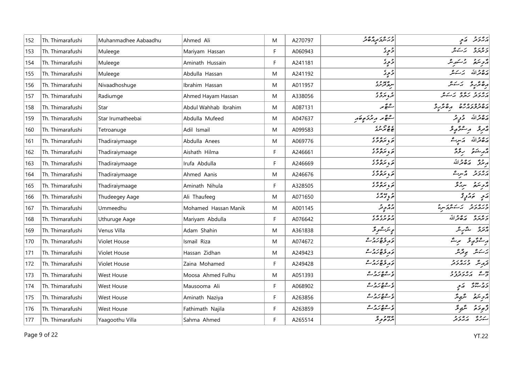| 152 | Th. Thimarafushi | Muhanmadhee Aabaadhu | Ahmed Ali            | Μ  | A270797 | و ر ه ر ر پر پر و<br>د بر سرچ تو پر ص تو | پروژو کړي                                           |
|-----|------------------|----------------------|----------------------|----|---------|------------------------------------------|-----------------------------------------------------|
| 153 | Th. Thimarafushi | Muleege              | Mariyam Hassan       | F. | A060943 | ومور                                     | ر ه ر ه<br><del>د</del> بربرگ<br>ئەسەتىر            |
| 154 | Th. Thimarafushi | Muleege              | Aminath Hussain      | F. | A241181 | د<br>ترموز                               | أأتر يتركع المراشر الكرامل                          |
| 155 | Th. Thimarafushi | Muleege              | Abdulla Hassan       | M  | A241192 | و<br>ترمور                               | رەقراللە بەكتىر                                     |
| 156 | Th. Thimarafushi | Nivaadhoshuge        | Ibrahim Hassan       | Μ  | A011957 | ر پر دی<br>سرچ فرسری                     | رەنزىرو بەسەر                                       |
| 157 | Th. Thimarafushi | Radiumge             | Ahmed Hayam Hassan   | Μ  | A338056 | ړ ده ده<br>مرغ درو د                     | رەر دىر دە ئەسەر<br>مەردىي ئەردى ئەسەر              |
| 158 | Th. Thimarafushi | Star                 | Abdul Wahhab Ibrahim | M  | A087131 | ە ئە<br>سىۋىمە                           | נס כסנס בין סבינים<br>הסנק <i>פ</i> הנסיקים         |
| 159 | Th. Thimarafushi | Star Irumatheebai    | Abdulla Mufeed       | M  | A047637 | مشقي مرمزد وقص                           | أشكاه والله المحافي فمر                             |
| 160 | Th. Thimarafushi | Tetroanuge           | Adil Ismail          | Μ  | A099583 | ے وی وے<br>ج ج ترسری                     | ۇمرىق بەستۇپەتى                                     |
| 161 | Th. Thimarafushi | Thadiraiymaage       | Abdulla Anees        | M  | A069776 | ر<br>مو بره دی                           | أرة قرالله أرسيك                                    |
| 162 | Th. Thimarafushi | Thadiraiymaage       | Aishath Hilma        | F  | A246661 | ر<br>موج بره و د د                       | ړ په شمې کرونځ                                      |
| 163 | Th. Thimarafushi | Thadiraiymaage       | Irufa Abdulla        | F  | A246669 | ر ده وه<br>موجه ترکوچر                   | معرق صكائله                                         |
| 164 | Th. Thimarafushi | Thadiraiymaage       | Ahmed Aanis          | M  | A246676 |                                          | رەرد شىرك                                           |
| 165 | Th. Thimarafushi | Thadiraiymaage       | Aminath Nihula       | F  | A328505 | ر ده ده<br>موسره در                      | أأدمر المستراثة                                     |
| 166 | Th. Thimarafushi | Thudeegey Aage       | Ali Thaufeeg         | M  | A071650 | د پره ده<br>مونو پر پر                   | پر پر پروژ                                          |
| 167 | Th. Thimarafushi | Ummeedhu             | Mohamed Hassan Manik | M  | A001145 | وه و پر<br>م                             | כנסנכן ג' ביותר ייתו                                |
| 168 | Th. Thimarafushi | Uthuruge Aage        | Mariyam Abdulla      | F  | A076642 |                                          | مەھىراللە<br>ر ه ر ه<br><del>د</del> بربرگ          |
| 169 | Th. Thimarafushi | Venus Villa          | Adam Shahin          | Μ  | A361838 | <sub>جە</sub> بىئرىش <sub>ى</sub> رىگە   | م دره څېر شر                                        |
| 170 | Th. Thimarafushi | <b>Violet House</b>  | Ismail Riza          | M  | A074672 | ۇر ئۇغ ئەرم                              | رېمۇرو برگ                                          |
| 171 | Th. Thimarafushi | <b>Violet House</b>  | Hassan Zidhan        | Μ  | A249423 | ۇر ئۇغ ئەرمى                             | ير سەندىكى س <sub>ى</sub> مەتكەنلەر                 |
| 172 | Th. Thimarafushi | <b>Violet House</b>  | Zaina Mohamed        | F  | A249428 | ۇر ئۇغ ئەرمى                             | أقرم شده وره در د                                   |
| 173 | Th. Thimarafushi | <b>West House</b>    | Moosa Ahmed Fulhu    | Μ  | A051393 | ې ده ور د ه<br>و شوم ته                  | دو ده دود و در در در د                              |
| 174 | Th. Thimarafushi | West House           | Mausooma Ali         | F  | A068902 | ې ده ور د ه<br>مرگه شو                   | رو دو په کې                                         |
| 175 | Th. Thimarafushi | West House           | Aminath Naziya       | F  | A263856 | ې موه بر د م                             | متثبي دثر<br>أرمر تركيح                             |
| 176 | Th. Thimarafushi | West House           | Fathimath Najila     | F  | A263859 | ې ده ور د ه<br>و شوم ترکه ش              | و مر د<br>اقرامو خرم                                |
| 177 | Th. Thimarafushi | Yaagoothu Villa      | Sahma Ahmed          | F  | A265514 | پروو و<br>  مرۍ حومو څ                   | سترقر<br>بر ٥ پر و<br>م <i>ر</i> بر <del>و</del> تر |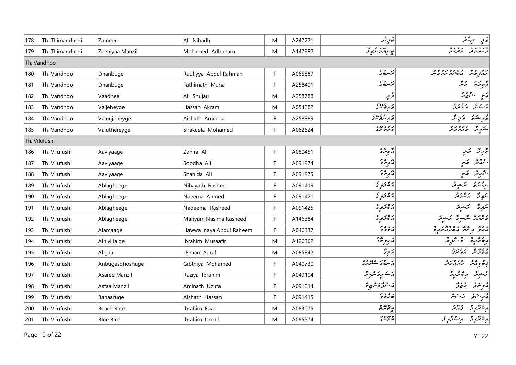| 178 | Th. Thimarafushi | Zameen            | Ali Nihadh               | M         | A247721 | ئىچە تىر                                | أەسمج سرچىقىر                                 |
|-----|------------------|-------------------|--------------------------|-----------|---------|-----------------------------------------|-----------------------------------------------|
| 179 | Th. Thimarafushi | Zeeniyaa Manzil   | Mohamed Adhuham          | ${\sf M}$ | A147982 | <sub>مج</sub> سِرتَدَ شَبح <sup>5</sup> | ورەرو رورە<br>ورەروش مەدرى                    |
|     | Th. Vandhoo      |                   |                          |           |         |                                         |                                               |
| 180 | Th. Vandhoo      | Dhanbuge          | Raufiyya Abdul Rahman    | F         | A065887 | ر رو ء<br>ترس@ر                         | ره وه ره ده و<br>پره تربر تر س<br>ىر تر پر چر |
| 181 | Th. Vandhoo      | Dhanbuge          | Fathimath Muna           | F         | A258401 | ر رو ء<br>ترس@ر                         | ا تو بر د<br>ا<br>تر شر                       |
| 182 | Th. Vandhoo      | Vaadhee           | Ali Shujau               | M         | A258788 | ءً مرٍ                                  | أوكمني المستوفية وكالمحمد                     |
| 183 | Th. Vandhoo      | Vaijeheyge        | Hassan Akram             | M         | A054682 | ر<br>تو در ج ر د                        | ير سەھر ئەر ئەسىر                             |
| 184 | Th. Vandhoo      | Vainujeheyge      | Aishath Ameena           | F         | A258389 | ىر رو، دە<br>قەربىرقى س                 | أقهر يشكره المرج مكر                          |
| 185 | Th. Vandhoo      | Valuthereyge      | Shakeela Mohamed         | F         | A062624 |                                         | أختار ورەرو                                   |
|     | Th. Vilufushi    |                   |                          |           |         |                                         |                                               |
| 186 | Th. Vilufushi    | Aaviyaage         | Zahira Ali               | F         | A080451 | پژ <sub>ھ پ</sub> وءِ<br>               | تج سرتمته الأسمية                             |
| 187 | Th. Vilufushi    | Aaviyaage         | Soodha Ali               | F         | A091274 | پر<br>پروگری                            | سەھەتىر<br>ەكىر                               |
| 188 | Th. Vilufushi    | Aaviyaage         | Shahida Ali              | F         | A091275 | ا پژ <sub>ھ پ</sub> ور ئ                | لمشرقه الأمج                                  |
| 189 | Th. Vilufushi    | Ablagheege        | Nihayath Rasheed         | F         | A091419 | <br>  د ځونړۍ                           | سرچرچ کر شوتر<br>سرچرچو کرشوتر                |
| 190 | Th. Vilufushi    | Ablagheege        | Naeema Ahmed             | F         | A091421 | رە ر<br>مەھۇرىي                         | شمدة مددور                                    |
| 191 | Th. Vilufushi    | Ablagheege        | Nadeema Rasheed          | F         | A091425 | رە ر<br>مەھمەر ي                        | لل <i>كورة للم</i> شوقر                       |
| 192 | Th. Vilufushi    | Ablagheege        | Mariyam Nasima Rasheed   | F         | A146384 | برە ئەز                                 | .<br>כמוקב יתי-קב מיי                         |
| 193 | Th. Vilufushi    | Alamaage          | Hawwa Inaya Abdul Raheem | F         | A046337 | ر ر بر »<br>پر <del>ت</del> ر بر د      | י ס 4 היית הסינו זה כ                         |
| 194 | Th. Vilufushi    | Alhivilla ge      | Ibrahim Musaafir         | M         | A126362 | ەزرە ۋە                                 | رە ئەر ئەر ئەر ئە                             |
| 195 | Th. Vilufushi    | Aligaa            | Usman Auraf              | M         | A085342 | بزىرتخ                                  | وە ئەررو                                      |
| 196 | Th. Vilufushi    | Anbugasdhoshuge   | Gibthiya Mohamed         | F         | A040730 | د سرچ ر ه پر و ،<br>د سرچ د سوترس       | أتوصومه ورورو                                 |
| 197 | Th. Vilufushi    | Asaree Manzil     | Raziya Ibrahim           | F         | A049104 | ە سە <sub>مىر</sub> ى مىنى بى           | نگرىنىدە پىر<br>م<br>ە ھەترىر ۋ               |
| 198 | Th. Vilufushi    | Asfaa Manzil      | Aminath Uzufa            | F         | A091614 | ىر مەمۇر مەم بى                         | أثرم ترويح والملح                             |
| 199 | Th. Vilufushi    | Bahaaruge         | Aishath Hassan           | F         | A091415 | ر بر د ،<br>ن <i>ه رگ</i> ری            | أقم مشكوح بركت ملكن                           |
| 200 | Th. Vilufushi    | <b>Beach Rate</b> | Ibrahim Fuad             | M         | A083075 | جونجريج                                 | وه ټرېږ<br>و پر پی                            |
| 201 | Th. Vilufushi    | <b>Blue Bird</b>  | Ibrahim Ismail           | ${\sf M}$ | A085574 | 0 <i>4 77 0</i><br>2 <i>0 7 0</i>       | رە ئەر دىسى ئەھ                               |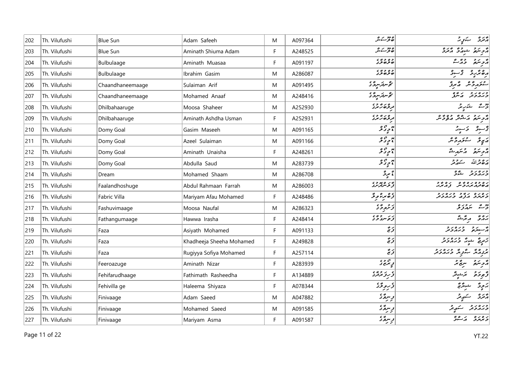| 202 | Th. Vilufushi | <b>Blue Sun</b>  | Adam Safeeh              | M  | A097364 | ە دەپ ھ                                                                                              | أرمزد سكور                                                                |
|-----|---------------|------------------|--------------------------|----|---------|------------------------------------------------------------------------------------------------------|---------------------------------------------------------------------------|
| 203 | Th. Vilufushi | <b>Blue Sun</b>  | Aminath Shiuma Adam      | F  | A248525 | ەددىر بە                                                                                             | و مرد دو و دره<br>مرد مرد شورد مردرد                                      |
| 204 | Th. Vilufushi | Bulbulaage       | Aminath Muasaa           | F  | A091197 | د ه د و و ،<br>م <i>ه نو</i> نو د                                                                    | أرجاح والمحمد                                                             |
| 205 | Th. Vilufushi | Bulbulaage       | Ibrahim Gasim            | M  | A286087 | د ه د و و ،<br>م <i>ه نو</i> نو د                                                                    | ىر ھەتتەر 2<br>ب<br>تۇسىۋ                                                 |
| 206 | Th. Vilufushi | Chaandhaneemaage | Sulaiman Arif            | M  | A091495 | گوسرتر سرچ <sup>ء</sup>                                                                              | ەر بىرى<br>ش <sub>ى</sub> ر ئەرگە                                         |
| 207 | Th. Vilufushi | Chaandhaneemaage | Mohamed Anaaf            | M  | A248416 | ڭرىس <i>قرىرى</i><br>كۆسى قرىرى                                                                      | وره روه<br>وبرورو الاسمل                                                  |
| 208 | Th. Vilufushi | Dhilbahaaruge    | Moosa Shaheer            | M  | A252930 | ه در ۶ و ۷<br>درمر <i>ه ر</i> بر <sub>ک</sub>                                                        | وحرث القرباني                                                             |
| 209 | Th. Vilufushi | Dhilbahaaruge    | Aminath Ashdha Usman     | F  | A252931 | ه در ۶ و ۷<br>درگرفت تر بور                                                                          | مەمەم مەھەم دەم دە                                                        |
| 210 | Th. Vilufushi | Domy Goal        | Gasim Maseeh             | M  | A091165 | بر ص<br>۽ ح <sub>و</sub> ر عر                                                                        | ۇسۇ كې                                                                    |
| 211 | Th. Vilufushi | Domy Goal        | Azeel Sulaiman           | M  | A091166 | $\overline{\mathcal{Z}_{\mathcal{S}_{\mathcal{Z}}^{\mathcal{C}}}\mathcal{Z}_{\mathcal{E}}^{\times}}$ | ەي ئىسىمى ئىس                                                             |
| 212 | Th. Vilufushi | Domy Goal        | Aminath Unaisha          | F. | A248261 | $rac{\partial}{\partial} \frac{\partial}{\partial z}$                                                | أزجر المتعارية                                                            |
| 213 | Th. Vilufushi | Domy Goal        | Abdulla Saud             | M  | A283739 | بو هو<br>د وړو                                                                                       | برہ تراللّٰہ<br>ستهر قر                                                   |
| 214 | Th. Vilufushi | Dream            | Mohamed Shaam            | M  | A286708 | ه مرچ<br>پا                                                                                          | وره رو در ده<br><i>وبرو د</i> ر مشور                                      |
| 215 | Th. Vilufushi | Faalandhoshuge   | Abdul Rahmaan Farrah     | M  | A286003 | و ر ه پر د ،<br>تر تر تر تر ر                                                                        | נס כס נס 4 ס ני גם 4 כ<br>השנ <i>נה <del>ג</del>וב</i> ית - צה <i>ג</i> ו |
| 216 | Th. Vilufushi | Fabric Villa     | Mariyam Afau Mohamed     | F  | A248486 | ، ۋە برى <sub>نل</sub> و ۋ                                                                           | נ סנים ניזי כניסניב<br>בי <i>נורב הצ</i> ה בינהכת                         |
| 217 | Th. Vilufushi | Fashuvimaage     | Moosa Naufal             | M  | A286323 | ر و د د ،<br>و تره و د                                                                               | در شدد در در در در باید بود.<br>مرکز در سرگرانش                           |
| 218 | Th. Vilufushi | Fathangumaage    | Hawwa Irasha             | F  | A248414 | ر ر پورې<br>زه سر ژ د                                                                                | برە پر ئە                                                                 |
| 219 | Th. Vilufushi | Faza             | Asiyath Mohamed          | F. | A091133 | تریخ                                                                                                 | و در در دره<br>م <sup>ح</sup> سنه وبرونو                                  |
| 220 | Th. Vilufushi | Faza             | Khadheeja Sheeha Mohamed | F. | A249828 | تریخ                                                                                                 | كرسيم شور 2019 و 2017.<br>كرسيم شور 2019 و 20                             |
| 221 | Th. Vilufushi | Faza             | Rugiyya Sofiya Mohamed   | F  | A257114 | ترتج                                                                                                 | برومه بأدبر ورورد                                                         |
| 222 | Th. Vilufushi | Feeroazuge       | Aminath Nizar            | F  | A283939 | د چ و ۽<br>پوسمبر                                                                                    | أأدبتكم بتلجي                                                             |
| 223 | Th. Vilufushi | Fehifarudhaage   | Fathimath Rasheedha      | F  | A134889 | ۇرۇپروپر                                                                                             | ۇ بو ئەم<br>كرشوقر                                                        |
| 224 | Th. Vilufushi | Fehivilla ge     | Haleema Shiyaza          | F  | A078344 | ۇر <sub>ەم</sub> ۇ ئ                                                                                 | شەدگە كە<br>ر<br>روپه                                                     |
| 225 | Th. Vilufushi | Finivaage        | Adam Saeed               | M  | A047882 | وسرځ ځ                                                                                               | پوره<br>مرتزل<br>سەمەتر                                                   |
| 226 | Th. Vilufushi |                  | Mohamed Saeed            | M  | A091585 | وسرچء                                                                                                | و ر ه ر د<br><i>و بر د</i> کر                                             |
|     |               | Finivaage        |                          |    |         |                                                                                                      | رەرە پەرەپچ                                                               |
| 227 | Th. Vilufushi | Finivaage        | Mariyam Asma             | F  | A091587 | و سرچ <sup>ي</sup>                                                                                   |                                                                           |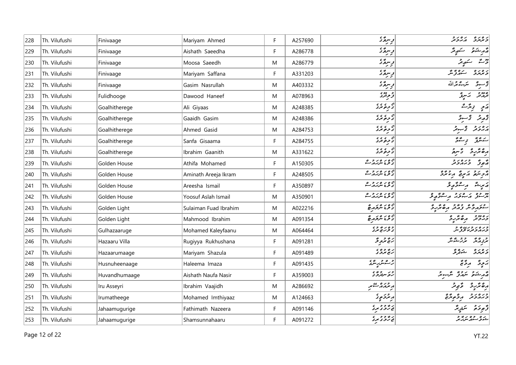| 228 | Th. Vilufushi | Finivaage     | Mariyam Ahmed         | F           | A257690 | و سرچ <sup>ي</sup>                       | ەر ئەر تە<br>ر ه ر ه<br><del>ر</del> بربرگ   |
|-----|---------------|---------------|-----------------------|-------------|---------|------------------------------------------|----------------------------------------------|
| 229 | Th. Vilufushi | Finivaage     | Aishath Saeedha       | F           | A286778 | وسرءٌ کا                                 | و مر شو د<br>مر<br>ستهرقر                    |
| 230 | Th. Vilufushi | Finivaage     | Moosa Saeedh          | M           | A286779 | وسرءٌ کا                                 | وحث سكهاند                                   |
| 231 | Th. Vilufushi | Finivaage     | Mariyam Saffana       | F           | A331203 | و سرچ <sup>ء</sup><br>تر سرچ             | سەد ئۇ بىگە<br>ر ه ر ه<br><del>د</del> بربرگ |
| 232 | Th. Vilufushi | Finivaage     | Gasim Nasrullah       | M           | A403332 | وسرهمی                                   | و<br>تۇ سىر <i>ە</i><br>بترجيحرالله          |
| 233 | Th. Vilufushi | Fulidhooge    | Dawood Haneef         | M           | A078963 | د دده<br>توموترد                         | پروو پرسرو<br>ترم <sup>و</sup> تر برسرو      |
| 234 | Th. Vilufushi | Goalhitherege | Ali Giyaas            | M           | A248385 | ان<br>انگرېز کو تنرگ<br>سياسي            | أرسمي ترور محمد                              |
| 235 | Th. Vilufushi | Goalhitherege | Gaaidh Gasim          | M           | A248386 | $rac{c}{2}$                              | و<br>تۇمەنتى ئۇسىر <i>ە</i>                  |
| 236 | Th. Vilufushi | Goalhitherege | Ahmed Gasid           | M           | A284753 | ج<br>تحريح مري                           | رەرو ئېر                                     |
| 237 | Th. Vilufushi | Goalhitherege | Sanfa Gisaama         | F           | A284755 | ان<br>د عرض مرد                          | سەمىر تېرىشى                                 |
| 238 | Th. Vilufushi | Goalhitherege | Ibrahim Gaanith       | M           | A331622 | ہ<br>تحریح مر <sub>ک</sub>               | وەترىرو ئىر                                  |
| 239 | Th. Vilufushi | Golden House  | Athifa Mohamed        | F           | A150305 | ە مەر مەر جەم<br>ئىسىمە ئىرگەرگ          | وتجوقر<br>و رە ر د<br>تر پر تر تر            |
| 240 | Th. Vilufushi | Golden House  | Aminath Areeja Ikram  | F           | A248505 | ە ە ر ەر د مە                            | הכיטל ה'תְבֹּ תְעִיבל                        |
| 241 | Th. Vilufushi | Golden House  | Areesha Ismail        | F           | A350897 | ە ە رەر دە<br>ئەمەندىر ك                 | ړَ په د عر و د کا                            |
| 242 | Th. Vilufushi | Golden House  | Yoosuf Aslah Ismail   | M           | A350901 | ە مەر مەر جەھ<br>ئىسى ئىس ئىسىر          | د ده د ۱۵ در ۱۳۵ مرگور                       |
| 243 | Th. Vilufushi | Golden Light  | Sulaiman Fuad Ibrahim | M           | A022216 | برو ۽ عربير ۾                            | ويحدثه ومزد معترب                            |
| 244 | Th. Vilufushi | Golden Light  | Mahmood Ibrahim       | M           | A091354 | ة وبر عبر مع و                           | כמכני תפתיכ                                  |
| 245 | Th. Vilufushi | Gulhazaaruge  | Mohamed Kaleyfaanu    | M           | A064464 | و ه ر بر و ،<br>د <del>ن</del> ر رنج برد | و ر ه ر و ر در و و<br>و پر پر و تو به شرق س  |
| 246 | Th. Vilufushi | Hazaaru Villa | Rugiyya Rukhushana    | F           | A091281 | رَ پِّ بَرْهِ بَرَّ                      | لىمرترە پىر<br>برزشەش                        |
| 247 | Th. Vilufushi | Hazaarumaage  | Mariyam Shazula       | F           | A091489 | ر ۶ و ۶ ی<br>رسخ مرو ی                   | ر ه بر ه<br><del>د</del> بربرگ<br>شەۋرگە     |
| 248 | Th. Vilufushi | Husnuheenaage | Haleema Imaza         | $\mathsf F$ | A091435 | 2 مەش <sub>رىپ</sub> ىدى<br>مەسرىپە      | بزود اردمج                                   |
| 249 | Th. Vilufushi | Huvandhumaage | Aishath Naufa Nasir   | F           | A359003 | و ر په و په و<br>ر و سربر و د            | مەر شىم ئىر ئىز ئىر بىر                      |
| 250 | Th. Vilufushi | Iru Asseyri   | Ibrahim Vaajidh       | M           | A286692 | ە جەزەر يىمبر                            | ەھ <i>ئۈر ئىلى قى</i> ر                      |
| 251 | Th. Vilufushi | Irumatheege   | Mohamed Imthiyaaz     | M           | A124663 | ېر پر دې ده<br>ر                         | כמחכת חכתית                                  |
| 252 | Th. Vilufushi | Jahaamugurige | Fathimath Nazeera     | F           | A091146 | <br>  ج رحمت مرد<br>  ج                  | و څېو څه د                                   |
| 253 | Th. Vilufushi | Jahaamugurige | Shamsunnahaaru        | F           | A091272 | ر ۶ و و<br>قع تر <del>و</del> ۶ بو ی     | ے وجے مرکز تر<br>شوکر سور سرگرمز             |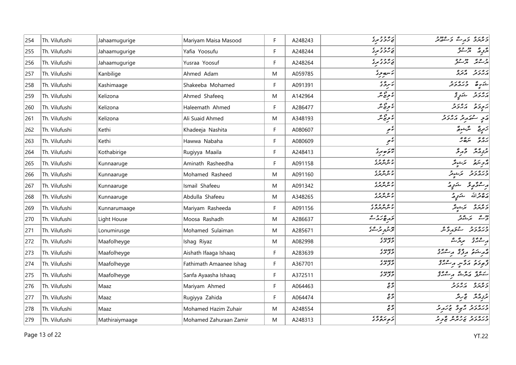| 254 | Th. Vilufushi | Jahaamugurige  | Mariyam Maisa Masood    | F  | A248243 | پر ۶ و و پر پر                                   |                                     |
|-----|---------------|----------------|-------------------------|----|---------|--------------------------------------------------|-------------------------------------|
| 255 | Th. Vilufushi | Jahaamugurige  | Yafia Yoosufu           | F. | A248244 | پر بر و و د پر<br>  فنح شرحر کا مرکز             | دد حرو<br> تژوِ پژ                  |
| 256 | Th. Vilufushi | Jahaamugurige  | Yusraa Yoosuf           | F. | A248264 | ر ۶ و و<br>بع ترن پی مور                         | د ه پر دو ده<br>در سرگر در در       |
| 257 | Th. Vilufushi | Kanbilige      | Ahmed Adam              | M  | A059785 | ر سرھ ور<br>--                                   | ره رح ده<br>پروتر پرترو             |
| 258 | Th. Vilufushi | Kashimaage     | Shakeeba Mohamed        | F  | A091391 | ړ<br>ماسرچۍ                                      | و ره ر د<br>تر پر تر تر<br>المشرعة  |
| 259 | Th. Vilufushi | Kelizona       | Ahmed Shafeeq           | M  | A142964 | تأمرچمتر                                         | پره پر در شوي پی                    |
| 260 | Th. Vilufushi | Kelizona       | Haleemath Ahmed         | F  | A286477 | ئۈچەتر                                           | پر پره پره پر پر                    |
| 261 | Th. Vilufushi | Kelizona       | Ali Suaid Ahmed         | M  | A348193 | تأوج يثر                                         | أيمو كتمكر محمد والمحمد             |
| 262 | Th. Vilufushi | Kethi          | Khadeeja Nashita        | F  | A080607 | اءِ<br>ا <sub>علمو</sub>                         | كرسي متكشرة                         |
| 263 | Th. Vilufushi | Kethi          | Hawwa Nabaha            | F  | A080609 | اءِ<br>ا <sub>علمو</sub>                         | برەپچ<br>سرەتر                      |
| 264 | Th. Vilufushi | Kothabirige    | Rugiyya Maaila          | F. | A248413 | بدر<br>ماه گورندگی<br>ماه گر                     | ج <sub>ر تو</sub> مر مگر<br>ژٌ مر ژ |
| 265 | Th. Vilufushi | Kunnaaruge     | Aminath Rasheedha       | F. | A091158 | و ه پر و ،<br>ما مگرمتر پور                      | ړ څر سرچ<br>ىمەسىيەتىگە<br>ئ        |
| 266 | Th. Vilufushi | Kunnaaruge     | Mohamed Rasheed         | M  | A091160 | د ه پر د ،<br>پاسربر <sub>گ</sub> ر <sub>ی</sub> | ورەرو كەشەتر                        |
| 267 | Th. Vilufushi | Kunnaaruge     | Ismail Shafeeu          | M  | A091342 | د ه پر د ،<br>پاس پر پرې                         | بر شۇن ئى ئىن ئىشتىر ئى             |
| 268 | Th. Vilufushi | Kunnaaruge     | Abdulla Shafeeu         | M  | A348265 | د ه پر د ،<br>پاس پر پر <sub>پ</sub>             | حَدَّ هُدَّ اللَّهُ شَوَرٍ حَمَّ    |
| 269 | Th. Vilufushi | Kunnarumaage   | Mariyam Rasheeda        | F. | A091156 | و ه پر و د ،<br>ما سرسرپرو د                     | رەرە يرَجعنگر                       |
| 270 | Th. Vilufushi | Light House    | Moosa Rashadh           | M  | A286637 | خهره پرچ                                         | رەھ ئەسكەن                          |
| 271 | Th. Vilufushi | Lonumirusge    | Mohamed Sulaiman        | M  | A285671 | بر قر <sub>م</sub> ر مرکب دی<br>مرکب             | ورەرو ئىزرگىر                       |
| 272 | Th. Vilufushi | Maafolheyge    | Ishag Riyaz             | M  | A082998 | ەيدى ،<br>5 تۇ ئى ي                              | و سائر تو سر پر شو به               |
| 273 | Th. Vilufushi | Maafolheyge    | Aishath Ifaaga Ishaaq   | F  | A283639 | ه پون<br><del>و</del> تو و                       | و ديده درگار مشرق                   |
| 274 | Th. Vilufushi | Maafolheyge    | Fathimath Amaanee Ishag | F  | A367701 | ەيدى ،<br>5 توغرى                                | و دو روس مستر                       |
| 275 | Th. Vilufushi | Maafolheyge    | Sanfa Ayaasha Ishaaq    | F  | A372511 | ه پون تا<br>تر تو تو ت                           | سەسرۇ كەرگە ئەسىر ئەر               |
| 276 | Th. Vilufushi | Maaz           | Mariyam Ahmed           | F  | A064463 | رچ                                               | נפנס נפנד.<br>כינו <i>נ</i> כ הנכנ  |
| 277 | Th. Vilufushi | Maaz           | Rugiyya Zahida          | F  | A064474 | رچ                                               | جرة مركز منظم المحر مركز            |
| 278 | Th. Vilufushi | Maaz           | Mohamed Hazim Zuhair    | M  | A248554 | رچ                                               | כנסנכ המפי המתי                     |
| 279 | Th. Vilufushi | Mathiraiymaage | Mohamed Zahuraan Zamir  | M  | A248313 | ر پره وي<br>ترمونزون                             | ورەر د روپە ھەم كە                  |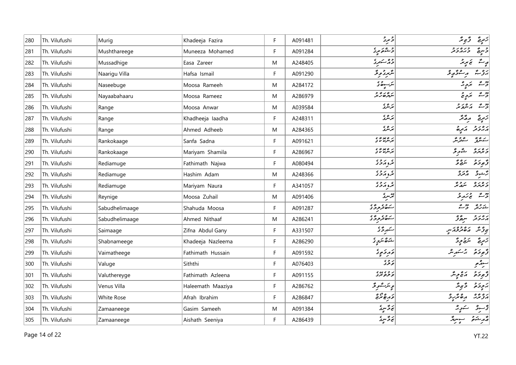| 280 | Th. Vilufushi | Murig          | Khadeeja Fazira   | F  | A091481 | و برد<br>و برد                                                                          | ۇ ئىم ئىگە<br>ئرمرچ<br>موقع                                                                  |
|-----|---------------|----------------|-------------------|----|---------|-----------------------------------------------------------------------------------------|----------------------------------------------------------------------------------------------|
| 281 | Th. Vilufushi | Mushthareege   | Muneeza Mohamed   | F. | A091284 | <br> حرشوه مړي                                                                          | و سرچ<br>و ره ر و<br><i>و پر</i> و تر                                                        |
| 282 | Th. Vilufushi | Mussadhige     | Easa Zareer       | M  | A248405 | 32 سەمىرى<br>                                                                           |                                                                                              |
| 283 | Th. Vilufushi | Naarigu Villa  | Hafsa Ismail      | F  | A091290 | مر <sub>گىرى</sub> ئورۇ                                                                 | ەرسىۋەپەيج                                                                                   |
| 284 | Th. Vilufushi | Naseebuge      | Moosa Rameeh      | M  | A284172 | پر سوچ ۽<br>سرسوچ                                                                       | وسقه<br>بجرجر                                                                                |
| 285 | Th. Vilufushi | Nayaabahaaru   | Moosa Rameez      | M  | A286979 | ر در د و<br>سرگرفت تر                                                                   | و عثر<br>بمرحرح                                                                              |
| 286 | Th. Vilufushi | Range          | Moosa Anwar       | M  | A039584 | ىر ە ي                                                                                  | دو محر<br>ىر ھەمەر<br>مەسرى <i>يە</i> سىر                                                    |
| 287 | Th. Vilufushi | Range          | Khadheeja laadha  | F  | A248311 | ر ہ ،<br>برس                                                                            | برەتمە<br>ترىرىقى<br>م                                                                       |
| 288 | Th. Vilufushi | Range          | Ahmed Adheeb      | M  | A284365 | برە ،                                                                                   | پروترو<br>پر درج<br>مرکز                                                                     |
| 289 | Th. Vilufushi | Rankokaage     | Sanfa Sadna       | F. | A091621 | ر 20 پر دے<br>بر سربر تر ی                                                              | ر محمد شر<br>سەھەتە                                                                          |
| 290 | Th. Vilufushi | Rankokaage     | Mariyam Shamila   | F. | A286967 | ر ٥ پر <u>دی</u><br>بر سرد در د                                                         | ر ه ر ه<br><del>و</del> بربرو<br>شَّحْرِ تَرُ                                                |
| 291 | Th. Vilufushi | Rediamuge      | Fathimath Najwa   | F  | A080494 | برودي                                                                                   | ىر ە بە<br>سرچ خ<br>و مرد<br>ترجوح                                                           |
| 292 | Th. Vilufushi | Rediamuge      | Hashim Adam       | M  | A248366 | بمودنور                                                                                 | رٌمشورٌ<br>پور ہ<br>پرترو                                                                    |
| 293 | Th. Vilufushi | Rediamuge      | Mariyam Naura     | F  | A341057 | ې د د د<br>مروخ د                                                                       | ر ه ر ه<br><del>ر</del> بربر د<br>سرویژ                                                      |
| 294 | Th. Vilufushi | Reynige        | Moosa Zuhail      | M  | A091406 | ىيە<br>تىرسرى                                                                           | وژ مئے<br>تح تر پر تحر                                                                       |
| 295 | Th. Vilufushi | Sabudhelimaage | Shahuda Moosa     | F. | A091287 | يەھ تەرىپرى                                                                             | دو مئے<br>ے تر تر                                                                            |
| 296 | Th. Vilufushi | Sabudhelimaage | Ahmed Nithaaf     | M  | A286241 | يەھ تۈپۈتى                                                                              | رەرو سەۋ                                                                                     |
| 297 | Th. Vilufushi | Saimaage       | Zifna Abdul Gany  | F. | A331507 | سەدى                                                                                    | <sub>ى</sub> ۋىتر مەھ <i>ترى بىر</i>                                                         |
| 298 | Th. Vilufushi | Shabnameege    | Khadeeja Nazleema | F  | A286290 | ے ک <i>ے سر<sub>ح ک</sub>ے</i>                                                          | ر<br>دَمِيعٌ سَيَمْ وَ                                                                       |
| 299 | Th. Vilufushi | Vaimatheege    | Fathimath Hussain | F  | A091592 | <br> عەرىج موتى                                                                         | بر ئەمەر بى <sub>ر</sub><br>$\frac{7}{5}$<br>$\frac{7}{5}$<br>$\frac{8}{1}$<br>$\frac{1}{1}$ |
| 300 | Th. Vilufushi | Valuge         | Siththi           | F  | A076403 | ر و ،<br>حرمر                                                                           |                                                                                              |
| 301 | Th. Vilufushi | Valuthereyge   | Fathimath Azleena | F  | A091155 | ر و ، <u>،،</u> ،<br>ح <b>رم</b> مرد                                                    | وحجوحهم<br>ە ئىقجە ئىگر                                                                      |
| 302 | Th. Vilufushi | Venus Villa    | Haleemath Maaziya | F  | A286762 | ە پەئىر <u>ش</u> ورۇ                                                                    | ر حجم پر<br>بروده                                                                            |
| 303 | Th. Vilufushi | White Rose     | Afrah Ibrahim     | F  | A286847 | $\begin{array}{c c} \hline \circ & \circ \\ \hline \circ & \circ \\ \hline \end{array}$ | دە دى<br>ە ھەترىرى<br>برھ ترىرى                                                              |
| 304 | Th. Vilufushi | Zamaaneege     | Gasim Sameeh      | M  | A091384 | ىر ئەسرى<br>ئى قرىپى                                                                    | پچ سوچ<br>ر<br>سەرچە                                                                         |
| 305 | Th. Vilufushi | Zamaaneege     | Aishath Seeniya   | F  | A286439 | ىر ئ <sup>ۇ</sup> س <sub>ى</sub> ئە                                                     | وكرمشكم المستبر                                                                              |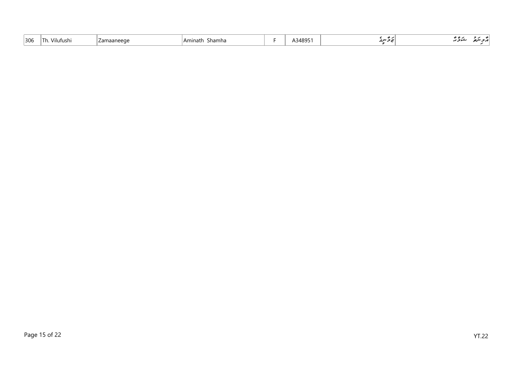| 306 | 'ılufush | anooc<br>m.<br>idlie | ـShamh<br>Aminath. |  | <b>AQOF</b> | ---- | .<br>$\rightarrow$<br>. . |
|-----|----------|----------------------|--------------------|--|-------------|------|---------------------------|
|-----|----------|----------------------|--------------------|--|-------------|------|---------------------------|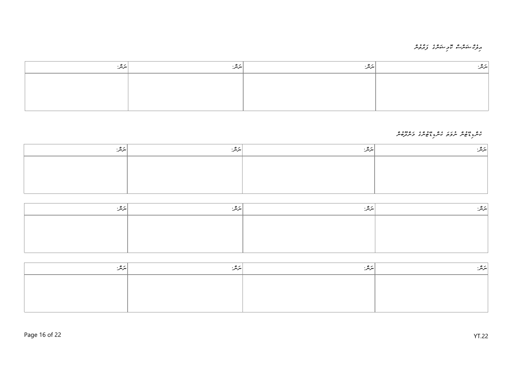## *w7qAn8m?sCw7mRo>u;wEw7mRw;sBo<*

| ' مرمر | 'يئرىثر: |
|--------|----------|
|        |          |
|        |          |
|        |          |

## *w7q9r@w7m>sCw7qHtFoFw7s;mAm=q7w7qHtFoFw7s;*

| يئرمىش: | $^{\circ}$<br>. سر سر<br>$\cdot$ | $\circ$ $\sim$<br>-- | يئرمثر |
|---------|----------------------------------|----------------------|--------|
|         |                                  |                      |        |
|         |                                  |                      |        |
|         |                                  |                      |        |

| انترنثر: | $^{\circ}$ | يبرهر | $^{\circ}$<br>سرسر |
|----------|------------|-------|--------------------|
|          |            |       |                    |
|          |            |       |                    |
|          |            |       |                    |

| ىرتىر: | 。<br>سر سر | .,<br>مرسر |
|--------|------------|------------|
|        |            |            |
|        |            |            |
|        |            |            |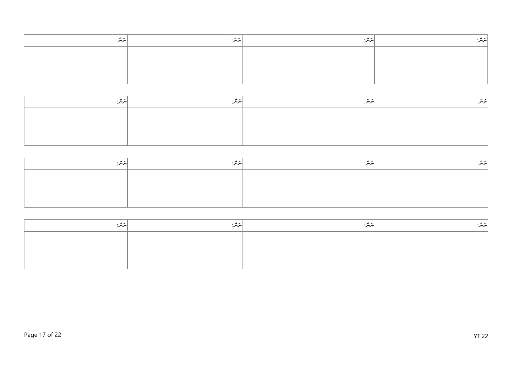| يزهر | $^{\circ}$ | ىئرىتر: |  |
|------|------------|---------|--|
|      |            |         |  |
|      |            |         |  |
|      |            |         |  |

| <sup>.</sup> سرسر. |  |
|--------------------|--|
|                    |  |
|                    |  |
|                    |  |

| ىئرىتر. | $\sim$ | ا بر هه. | لىرىش |
|---------|--------|----------|-------|
|         |        |          |       |
|         |        |          |       |
|         |        |          |       |

| 。<br>مرس. | $\overline{\phantom{a}}$<br>مر سر | يتريثر |
|-----------|-----------------------------------|--------|
|           |                                   |        |
|           |                                   |        |
|           |                                   |        |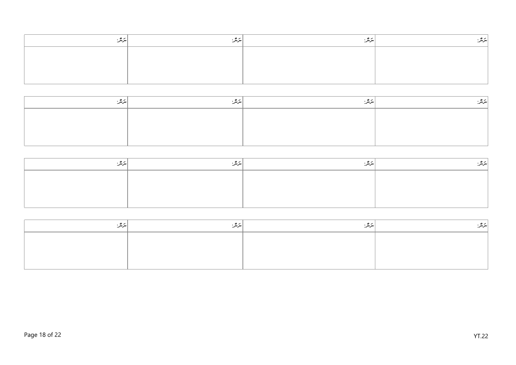| ير هو . | $\overline{\phantom{a}}$ | يرمر | اير هنه. |
|---------|--------------------------|------|----------|
|         |                          |      |          |
|         |                          |      |          |
|         |                          |      |          |

| ئىرتىر: | $\sim$<br>ا سرسر . | يئرمثر | o . |
|---------|--------------------|--------|-----|
|         |                    |        |     |
|         |                    |        |     |
|         |                    |        |     |

| كترنثر: | 。 | 。<br>سرسر. | o <i>~</i> |
|---------|---|------------|------------|
|         |   |            |            |
|         |   |            |            |
|         |   |            |            |

|  | . ه |
|--|-----|
|  |     |
|  |     |
|  |     |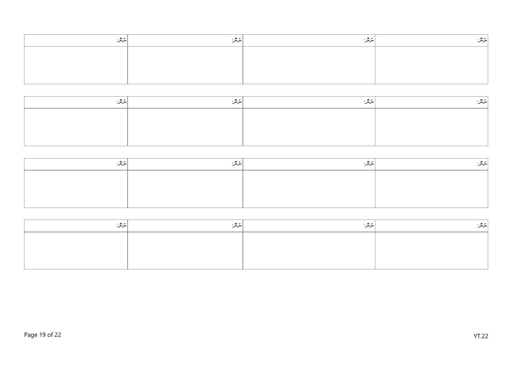| ير هو . | $\overline{\phantom{a}}$ | يرمر | اير هنه. |
|---------|--------------------------|------|----------|
|         |                          |      |          |
|         |                          |      |          |
|         |                          |      |          |

| ىر تىر: | $\circ$ $\sim$<br>" سرسر . | يترمير | o . |
|---------|----------------------------|--------|-----|
|         |                            |        |     |
|         |                            |        |     |
|         |                            |        |     |

| 'تترنثر: | 。<br>,,,, |  |
|----------|-----------|--|
|          |           |  |
|          |           |  |
|          |           |  |

|  | . ه |
|--|-----|
|  |     |
|  |     |
|  |     |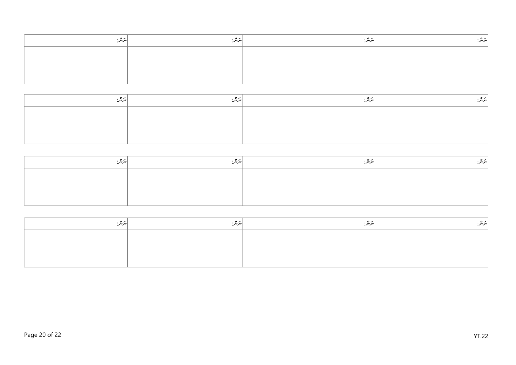| $\cdot$ | ο. | $\frac{\circ}{\cdot}$ | $\sim$<br>سرسر |
|---------|----|-----------------------|----------------|
|         |    |                       |                |
|         |    |                       |                |
|         |    |                       |                |

| يريثن | ' سرسر . |  |
|-------|----------|--|
|       |          |  |
|       |          |  |
|       |          |  |

| بر ه | 。 | $\sim$<br>َ سومس. |  |
|------|---|-------------------|--|
|      |   |                   |  |
|      |   |                   |  |
|      |   |                   |  |

| 。<br>. س | ىرىىر |  |
|----------|-------|--|
|          |       |  |
|          |       |  |
|          |       |  |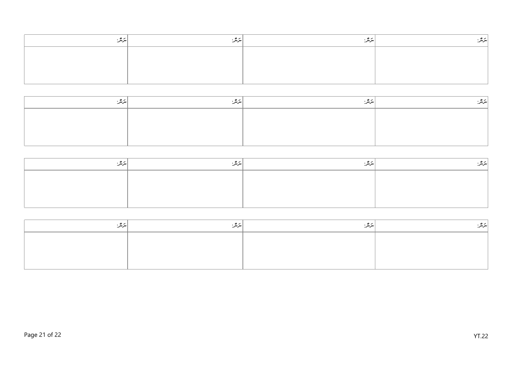| ير هو . | $\overline{\phantom{a}}$ | يرمر | اير هنه. |
|---------|--------------------------|------|----------|
|         |                          |      |          |
|         |                          |      |          |
|         |                          |      |          |

| ئىرتىر: | $\sim$<br>ا سرسر . | يئرمثر | o . |
|---------|--------------------|--------|-----|
|         |                    |        |     |
|         |                    |        |     |
|         |                    |        |     |

| كترنثر: | 。 | 。<br>سرسر. | o <i>~</i> |
|---------|---|------------|------------|
|         |   |            |            |
|         |   |            |            |
|         |   |            |            |

|  | . ه |
|--|-----|
|  |     |
|  |     |
|  |     |